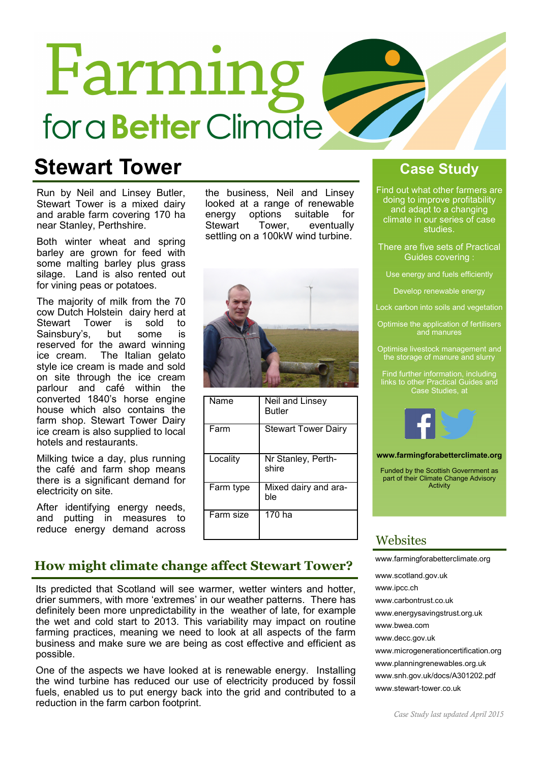# Farming for a **Better** Climate

# Stewart Tower

Run by Neil and Linsey Butler, Stewart Tower is a mixed dairy and arable farm covering 170 ha near Stanley, Perthshire.

Both winter wheat and spring barley are grown for feed with some malting barley plus grass silage. Land is also rented out for vining peas or potatoes.

The majority of milk from the 70 cow Dutch Holstein dairy herd at Stewart Tower is sold to<br>Sainshury's but some is Sainsbury's, but some is reserved for the award winning ice cream. The Italian gelato style ice cream is made and sold on site through the ice cream parlour and café within the converted 1840's horse engine house which also contains the farm shop. Stewart Tower Dairy ice cream is also supplied to local hotels and restaurants.

Milking twice a day, plus running the café and farm shop means there is a significant demand for electricity on site.

After identifying energy needs, and putting in measures to reduce energy demand across the business, Neil and Linsey looked at a range of renewable energy options suitable for<br>Stewart Tower. eventually Stewart Tower, eventually settling on a 100kW wind turbine.



| Name      | Neil and Linsey<br><b>Butler</b> |
|-----------|----------------------------------|
| Farm      | <b>Stewart Tower Dairy</b>       |
| Locality  | Nr Stanley, Perth-<br>shire      |
| Farm type | Mixed dairy and ara-<br>ble      |
| Farm size | 170 ha                           |

## Case Study

Find out what other farmers are doing to improve profitability and adapt to a changing climate in our series of case studies.

- There are five sets of Practical Guides covering :
	- Use energy and fuels efficiently

Develop renewable energy

- Lock carbon into soils and vegetation
- Optimise the application of fertilisers and manures
- Optimise livestock management and the storage of manure and slurry

Find further information, including links to other Practical Guides and Case Studies, at



www.farmingforabetterclimate.org

Funded by the Scottish Government as part of their Climate Change Advisory Activity

## **Websites**

### How might climate change affect Stewart Tower?

Its predicted that Scotland will see warmer, wetter winters and hotter, drier summers, with more 'extremes' in our weather patterns. There has definitely been more unpredictability in the weather of late, for example the wet and cold start to 2013. This variability may impact on routine farming practices, meaning we need to look at all aspects of the farm business and make sure we are being as cost effective and efficient as possible.

One of the aspects we have looked at is renewable energy. Installing the wind turbine has reduced our use of electricity produced by fossil fuels, enabled us to put energy back into the grid and contributed to a reduction in the farm carbon footprint.

www.scotland.gov.uk www.ipcc.ch www.carbontrust.co.uk www.energysavingstrust.org.uk www.bwea.com www.decc.gov.uk www.microgenerationcertification.org www.planningrenewables.org.uk www.snh.gov.uk/docs/A301202.pdf

www.farmingforabetterclimate.org

www.stewart-tower.co.uk